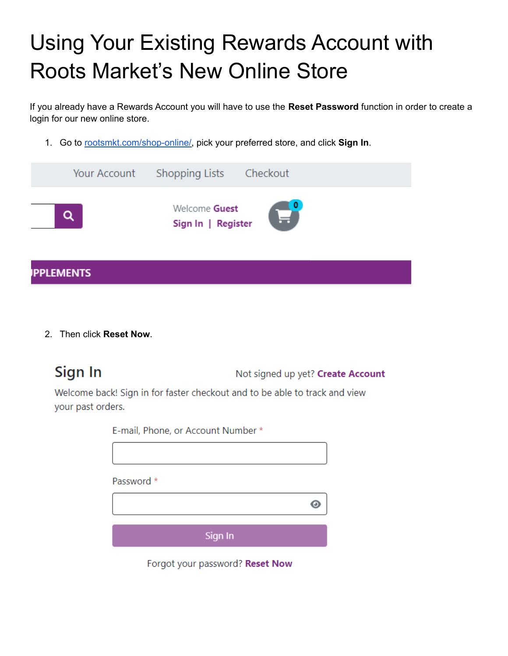## Using Your Existing Rewards Account with Roots Market's New Online Store

If you already have a Rewards Account you will have to use the **Reset Password** function in order to create a login for our new online store.

1. Go to [rootsmkt.com/shop-online/,](https://rootsmkt.com/shop-online) pick your preferred store, and click **Sign In**.



2. Then click **Reset Now**.

Sign In

Not signed up yet? Create Account

Welcome back! Sign in for faster checkout and to be able to track and view your past orders.

| E-mail, Phone, or Account Number * |  |
|------------------------------------|--|
|                                    |  |
| Password *                         |  |
|                                    |  |
|                                    |  |
| Sign In                            |  |
|                                    |  |

Forgot your password? Reset Now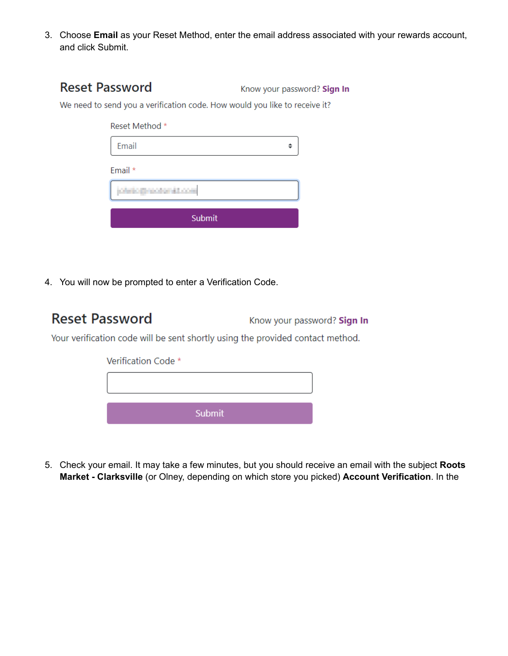3. Choose **Email** as your Reset Method, enter the email address associated with your rewards account, and click Submit.

| <b>Reset Password</b>                                                      | Know your password? Sign In |
|----------------------------------------------------------------------------|-----------------------------|
| We need to send you a verification code. How would you like to receive it? |                             |

| Reset Method *       |  |
|----------------------|--|
| Email                |  |
| Email *              |  |
| <b>ARTIST AND IN</b> |  |
| Submit               |  |

4. You will now be prompted to enter a Verification Code.

## **Reset Password**

Know your password? Sign In

Your verification code will be sent shortly using the provided contact method.

| Submit |  |
|--------|--|

5. Check your email. It may take a few minutes, but you should receive an email with the subject **Roots Market - Clarksville** (or Olney, depending on which store you picked) **Account Verification**. In the